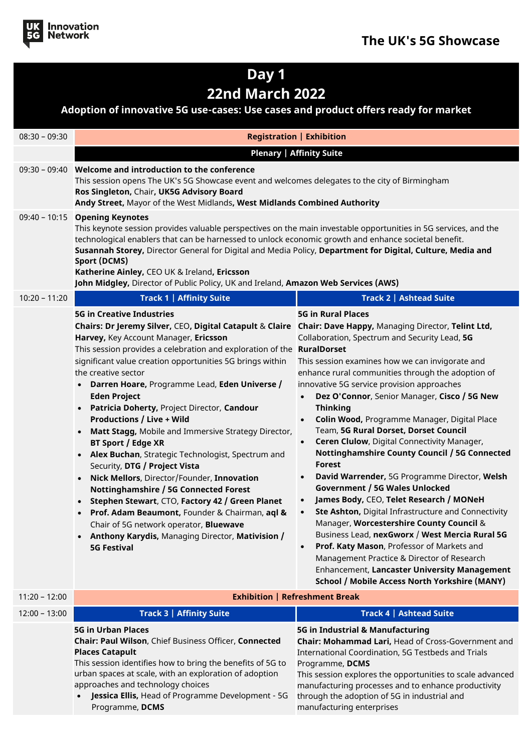

## **Day 1 22nd March 2022**

## **Adoption of innovative 5G use-cases: Use cases and product offers ready for market**

| $08:30 - 09:30$ | <b>Registration   Exhibition</b>                                                                                                                                                                                                                                                                                                                                                                                                                                                                                                                                                                                                                                                                                                                                                                                                                                                                                                                                                                                                                                            |                                                                                                                                                                                                                                                                                                                                                                                                                                                                                                                                                                                                                                                                                                                                                                                                                                                                                                                                                                                                                                                    |  |
|-----------------|-----------------------------------------------------------------------------------------------------------------------------------------------------------------------------------------------------------------------------------------------------------------------------------------------------------------------------------------------------------------------------------------------------------------------------------------------------------------------------------------------------------------------------------------------------------------------------------------------------------------------------------------------------------------------------------------------------------------------------------------------------------------------------------------------------------------------------------------------------------------------------------------------------------------------------------------------------------------------------------------------------------------------------------------------------------------------------|----------------------------------------------------------------------------------------------------------------------------------------------------------------------------------------------------------------------------------------------------------------------------------------------------------------------------------------------------------------------------------------------------------------------------------------------------------------------------------------------------------------------------------------------------------------------------------------------------------------------------------------------------------------------------------------------------------------------------------------------------------------------------------------------------------------------------------------------------------------------------------------------------------------------------------------------------------------------------------------------------------------------------------------------------|--|
|                 | <b>Plenary   Affinity Suite</b>                                                                                                                                                                                                                                                                                                                                                                                                                                                                                                                                                                                                                                                                                                                                                                                                                                                                                                                                                                                                                                             |                                                                                                                                                                                                                                                                                                                                                                                                                                                                                                                                                                                                                                                                                                                                                                                                                                                                                                                                                                                                                                                    |  |
|                 | 09:30 - 09:40 Welcome and introduction to the conference<br>This session opens The UK's 5G Showcase event and welcomes delegates to the city of Birmingham<br>Ros Singleton, Chair, UK5G Advisory Board<br>Andy Street, Mayor of the West Midlands, West Midlands Combined Authority                                                                                                                                                                                                                                                                                                                                                                                                                                                                                                                                                                                                                                                                                                                                                                                        |                                                                                                                                                                                                                                                                                                                                                                                                                                                                                                                                                                                                                                                                                                                                                                                                                                                                                                                                                                                                                                                    |  |
|                 | 09:40 - 10:15 Opening Keynotes<br>This keynote session provides valuable perspectives on the main investable opportunities in 5G services, and the<br>technological enablers that can be harnessed to unlock economic growth and enhance societal benefit.<br>Susannah Storey, Director General for Digital and Media Policy, Department for Digital, Culture, Media and<br><b>Sport (DCMS)</b><br>Katherine Ainley, CEO UK & Ireland, Ericsson<br>John Midgley, Director of Public Policy, UK and Ireland, Amazon Web Services (AWS)                                                                                                                                                                                                                                                                                                                                                                                                                                                                                                                                       |                                                                                                                                                                                                                                                                                                                                                                                                                                                                                                                                                                                                                                                                                                                                                                                                                                                                                                                                                                                                                                                    |  |
| $10:20 - 11:20$ | <b>Track 1   Affinity Suite</b>                                                                                                                                                                                                                                                                                                                                                                                                                                                                                                                                                                                                                                                                                                                                                                                                                                                                                                                                                                                                                                             | Track 2   Ashtead Suite                                                                                                                                                                                                                                                                                                                                                                                                                                                                                                                                                                                                                                                                                                                                                                                                                                                                                                                                                                                                                            |  |
|                 | <b>5G in Creative Industries</b><br>Chairs: Dr Jeremy Silver, CEO, Digital Catapult & Claire Chair: Dave Happy, Managing Director, Telint Ltd,<br>Harvey, Key Account Manager, Ericsson<br>This session provides a celebration and exploration of the RuralDorset<br>significant value creation opportunities 5G brings within<br>the creative sector<br>Darren Hoare, Programme Lead, Eden Universe /<br>$\bullet$<br><b>Eden Project</b><br>Patricia Doherty, Project Director, Candour<br><b>Productions / Live + Wild</b><br>Matt Stagg, Mobile and Immersive Strategy Director,<br>$\bullet$<br>BT Sport / Edge XR<br>Alex Buchan, Strategic Technologist, Spectrum and<br>$\bullet$<br>Security, DTG / Project Vista<br>Nick Mellors, Director/Founder, Innovation<br>Nottinghamshire / 5G Connected Forest<br>Stephen Stewart, CTO, Factory 42 / Green Planet<br>$\bullet$<br>Prof. Adam Beaumont, Founder & Chairman, aql &<br>$\bullet$<br>Chair of 5G network operator, Bluewave<br><b>Anthony Karydis, Managing Director, Mativision /</b><br><b>5G Festival</b> | <b>5G in Rural Places</b><br>Collaboration, Spectrum and Security Lead, 5G<br>This session examines how we can invigorate and<br>enhance rural communities through the adoption of<br>innovative 5G service provision approaches<br>Dez O'Connor, Senior Manager, Cisco / 5G New<br><b>Thinking</b><br>Colin Wood, Programme Manager, Digital Place<br>Team, 5G Rural Dorset, Dorset Council<br>Ceren Clulow, Digital Connectivity Manager,<br>$\bullet$<br>Nottinghamshire County Council / 5G Connected<br><b>Forest</b><br>David Warrender, 5G Programme Director, Welsh<br>$\bullet$<br><b>Government / 5G Wales Unlocked</b><br>James Body, CEO, Telet Research / MONeH<br>$\bullet$<br>Ste Ashton, Digital Infrastructure and Connectivity<br>Manager, Worcestershire County Council &<br>Business Lead, nexGworx / West Mercia Rural 5G<br>Prof. Katy Mason, Professor of Markets and<br>Management Practice & Director of Research<br>Enhancement, Lancaster University Management<br><b>School / Mobile Access North Yorkshire (MANY)</b> |  |
| $11:20 - 12:00$ | <b>Exhibition   Refreshment Break</b>                                                                                                                                                                                                                                                                                                                                                                                                                                                                                                                                                                                                                                                                                                                                                                                                                                                                                                                                                                                                                                       |                                                                                                                                                                                                                                                                                                                                                                                                                                                                                                                                                                                                                                                                                                                                                                                                                                                                                                                                                                                                                                                    |  |
| $12:00 - 13:00$ | <b>Track 3   Affinity Suite</b>                                                                                                                                                                                                                                                                                                                                                                                                                                                                                                                                                                                                                                                                                                                                                                                                                                                                                                                                                                                                                                             | Track 4   Ashtead Suite                                                                                                                                                                                                                                                                                                                                                                                                                                                                                                                                                                                                                                                                                                                                                                                                                                                                                                                                                                                                                            |  |
|                 | <b>5G in Urban Places</b><br>Chair: Paul Wilson, Chief Business Officer, Connected<br><b>Places Catapult</b><br>This session identifies how to bring the benefits of 5G to<br>urban spaces at scale, with an exploration of adoption<br>approaches and technology choices<br>Jessica Ellis, Head of Programme Development - 5G<br>Programme, DCMS                                                                                                                                                                                                                                                                                                                                                                                                                                                                                                                                                                                                                                                                                                                           | 5G in Industrial & Manufacturing<br>Chair: Mohammad Lari, Head of Cross-Government and<br>International Coordination, 5G Testbeds and Trials<br>Programme, DCMS<br>This session explores the opportunities to scale advanced<br>manufacturing processes and to enhance productivity<br>through the adoption of 5G in industrial and<br>manufacturing enterprises                                                                                                                                                                                                                                                                                                                                                                                                                                                                                                                                                                                                                                                                                   |  |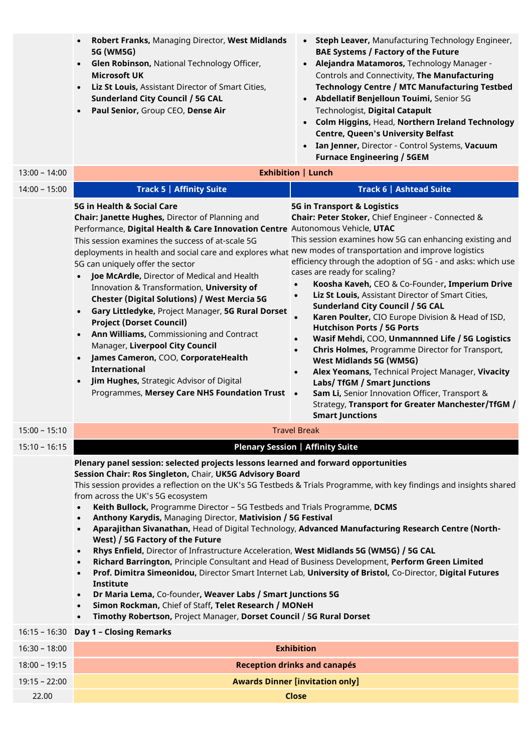|                 | Robert Franks, Managing Director, West Midlands<br>$\bullet$<br>5G (WM5G)<br>Glen Robinson, National Technology Officer,<br>$\bullet$<br><b>Microsoft UK</b><br>Liz St Louis, Assistant Director of Smart Cities,<br>$\bullet$<br><b>Sunderland City Council / 5G CAL</b><br>Paul Senior, Group CEO, Dense Air<br>$\bullet$                                                                                                                                                                                                                                                                                                                                                                                                                                                                                                                                                                                                                                                                                                                                                                                                                                                                                                                        | • Steph Leaver, Manufacturing Technology Engineer,<br><b>BAE Systems / Factory of the Future</b><br>Alejandra Matamoros, Technology Manager -<br>$\bullet$<br>Controls and Connectivity, The Manufacturing<br><b>Technology Centre / MTC Manufacturing Testbed</b><br>• Abdellatif Benjelloun Touimi, Senior 5G<br>Technologist, Digital Catapult<br>Colm Higgins, Head, Northern Ireland Technology<br><b>Centre, Queen's University Belfast</b><br>Ian Jenner, Director - Control Systems, Vacuum<br>$\bullet$<br><b>Furnace Engineering / 5GEM</b>                                                                                                                                                                                                                                                                                                                                                                                                             |  |
|-----------------|----------------------------------------------------------------------------------------------------------------------------------------------------------------------------------------------------------------------------------------------------------------------------------------------------------------------------------------------------------------------------------------------------------------------------------------------------------------------------------------------------------------------------------------------------------------------------------------------------------------------------------------------------------------------------------------------------------------------------------------------------------------------------------------------------------------------------------------------------------------------------------------------------------------------------------------------------------------------------------------------------------------------------------------------------------------------------------------------------------------------------------------------------------------------------------------------------------------------------------------------------|-------------------------------------------------------------------------------------------------------------------------------------------------------------------------------------------------------------------------------------------------------------------------------------------------------------------------------------------------------------------------------------------------------------------------------------------------------------------------------------------------------------------------------------------------------------------------------------------------------------------------------------------------------------------------------------------------------------------------------------------------------------------------------------------------------------------------------------------------------------------------------------------------------------------------------------------------------------------|--|
| $13:00 - 14:00$ | <b>Exhibition   Lunch</b>                                                                                                                                                                                                                                                                                                                                                                                                                                                                                                                                                                                                                                                                                                                                                                                                                                                                                                                                                                                                                                                                                                                                                                                                                          |                                                                                                                                                                                                                                                                                                                                                                                                                                                                                                                                                                                                                                                                                                                                                                                                                                                                                                                                                                   |  |
| $14:00 - 15:00$ | <b>Track 5   Affinity Suite</b>                                                                                                                                                                                                                                                                                                                                                                                                                                                                                                                                                                                                                                                                                                                                                                                                                                                                                                                                                                                                                                                                                                                                                                                                                    | Track 6   Ashtead Suite                                                                                                                                                                                                                                                                                                                                                                                                                                                                                                                                                                                                                                                                                                                                                                                                                                                                                                                                           |  |
|                 | 5G in Health & Social Care<br>Chair: Janette Hughes, Director of Planning and<br>Performance, Digital Health & Care Innovation Centre Autonomous Vehicle, UTAC<br>This session examines the success of at-scale 5G<br>deployments in health and social care and explores what new modes of transportation and improve logistics<br>5G can uniquely offer the sector<br><b>Joe McArdle, Director of Medical and Health</b><br>$\bullet$<br>Innovation & Transformation, University of<br><b>Chester (Digital Solutions) / West Mercia 5G</b><br>Gary Littledyke, Project Manager, 5G Rural Dorset<br>$\bullet$<br><b>Project (Dorset Council)</b><br>Ann Williams, Commissioning and Contract<br>$\bullet$<br>Manager, Liverpool City Council<br>James Cameron, COO, CorporateHealth<br>$\bullet$<br><b>International</b><br>Jim Hughes, Strategic Advisor of Digital<br>$\bullet$<br>Programmes, Mersey Care NHS Foundation Trust                                                                                                                                                                                                                                                                                                                  | <b>5G in Transport &amp; Logistics</b><br>Chair: Peter Stoker, Chief Engineer - Connected &<br>This session examines how 5G can enhancing existing and<br>efficiency through the adoption of 5G - and asks: which use<br>cases are ready for scaling?<br>Koosha Kaveh, CEO & Co-Founder, Imperium Drive<br>$\bullet$<br>Liz St Louis, Assistant Director of Smart Cities,<br>$\bullet$<br><b>Sunderland City Council / 5G CAL</b><br>Karen Poulter, CIO Europe Division & Head of ISD,<br>$\bullet$<br><b>Hutchison Ports / 5G Ports</b><br>Wasif Mehdi, COO, Unmannned Life / 5G Logistics<br>$\bullet$<br><b>Chris Holmes, Programme Director for Transport,</b><br>$\bullet$<br><b>West Midlands 5G (WM5G)</b><br>Alex Yeomans, Technical Project Manager, Vivacity<br>$\bullet$<br>Labs/ TfGM / Smart Junctions<br>Sam Li, Senior Innovation Officer, Transport &<br>$\bullet$<br>Strategy, Transport for Greater Manchester/TfGM /<br><b>Smart Junctions</b> |  |
| $15:00 - 15:10$ |                                                                                                                                                                                                                                                                                                                                                                                                                                                                                                                                                                                                                                                                                                                                                                                                                                                                                                                                                                                                                                                                                                                                                                                                                                                    | <b>Travel Break</b>                                                                                                                                                                                                                                                                                                                                                                                                                                                                                                                                                                                                                                                                                                                                                                                                                                                                                                                                               |  |
| $15:10 - 16:15$ |                                                                                                                                                                                                                                                                                                                                                                                                                                                                                                                                                                                                                                                                                                                                                                                                                                                                                                                                                                                                                                                                                                                                                                                                                                                    | <b>Plenary Session   Affinity Suite</b>                                                                                                                                                                                                                                                                                                                                                                                                                                                                                                                                                                                                                                                                                                                                                                                                                                                                                                                           |  |
|                 | Plenary panel session: selected projects lessons learned and forward opportunities<br>Session Chair: Ros Singleton, Chair, UK5G Advisory Board<br>This session provides a reflection on the UK's 5G Testbeds & Trials Programme, with key findings and insights shared<br>from across the UK's 5G ecosystem<br>Keith Bullock, Programme Director - 5G Testbeds and Trials Programme, DCMS<br>$\bullet$<br>Anthony Karydis, Managing Director, Mativision / 5G Festival<br>$\bullet$<br>Aparajithan Sivanathan, Head of Digital Technology, Advanced Manufacturing Research Centre (North-<br>$\bullet$<br>West) / 5G Factory of the Future<br>Rhys Enfield, Director of Infrastructure Acceleration, West Midlands 5G (WM5G) / 5G CAL<br>$\bullet$<br>Richard Barrington, Principle Consultant and Head of Business Development, Perform Green Limited<br>$\bullet$<br>Prof. Dimitra Simeonidou, Director Smart Internet Lab, University of Bristol, Co-Director, Digital Futures<br>$\bullet$<br>Institute<br>Dr Maria Lema, Co-founder, Weaver Labs / Smart Junctions 5G<br>$\bullet$<br>Simon Rockman, Chief of Staff, Telet Research / MONeH<br>$\bullet$<br>Timothy Robertson, Project Manager, Dorset Council / 5G Rural Dorset<br>$\bullet$ |                                                                                                                                                                                                                                                                                                                                                                                                                                                                                                                                                                                                                                                                                                                                                                                                                                                                                                                                                                   |  |
| $16:15 - 16:30$ | <b>Day 1 - Closing Remarks</b>                                                                                                                                                                                                                                                                                                                                                                                                                                                                                                                                                                                                                                                                                                                                                                                                                                                                                                                                                                                                                                                                                                                                                                                                                     |                                                                                                                                                                                                                                                                                                                                                                                                                                                                                                                                                                                                                                                                                                                                                                                                                                                                                                                                                                   |  |
| $16:30 - 18:00$ | <b>Exhibition</b>                                                                                                                                                                                                                                                                                                                                                                                                                                                                                                                                                                                                                                                                                                                                                                                                                                                                                                                                                                                                                                                                                                                                                                                                                                  |                                                                                                                                                                                                                                                                                                                                                                                                                                                                                                                                                                                                                                                                                                                                                                                                                                                                                                                                                                   |  |
| $18:00 - 19:15$ | <b>Reception drinks and canapés</b>                                                                                                                                                                                                                                                                                                                                                                                                                                                                                                                                                                                                                                                                                                                                                                                                                                                                                                                                                                                                                                                                                                                                                                                                                |                                                                                                                                                                                                                                                                                                                                                                                                                                                                                                                                                                                                                                                                                                                                                                                                                                                                                                                                                                   |  |
| $19:15 - 22:00$ | <b>Awards Dinner [invitation only]</b>                                                                                                                                                                                                                                                                                                                                                                                                                                                                                                                                                                                                                                                                                                                                                                                                                                                                                                                                                                                                                                                                                                                                                                                                             |                                                                                                                                                                                                                                                                                                                                                                                                                                                                                                                                                                                                                                                                                                                                                                                                                                                                                                                                                                   |  |
| 22.00           |                                                                                                                                                                                                                                                                                                                                                                                                                                                                                                                                                                                                                                                                                                                                                                                                                                                                                                                                                                                                                                                                                                                                                                                                                                                    | <b>Close</b>                                                                                                                                                                                                                                                                                                                                                                                                                                                                                                                                                                                                                                                                                                                                                                                                                                                                                                                                                      |  |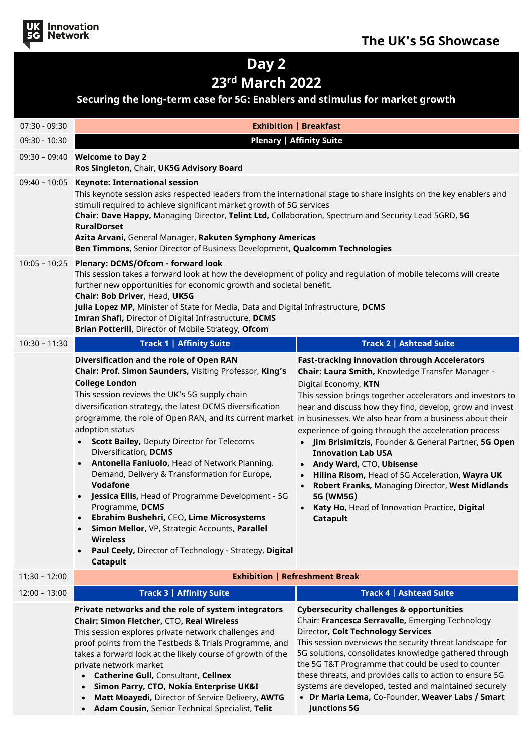

## **Day 2 23rd March 2022**

## **Securing the long-term case for 5G: Enablers and stimulus for market growth**

| <b>Plenary   Affinity Suite</b><br>09:30 - 10:30<br>09:30 - 09:40 <b>Welcome to Day 2</b><br>Ros Singleton, Chair, UK5G Advisory Board<br>09:40 - 10:05 Keynote: International session<br>This keynote session asks respected leaders from the international stage to share insights on the key enablers and<br>stimuli required to achieve significant market growth of 5G services<br>Chair: Dave Happy, Managing Director, Telint Ltd, Collaboration, Spectrum and Security Lead 5GRD, 5G<br><b>RuralDorset</b><br>Azita Arvani, General Manager, Rakuten Symphony Americas<br>Ben Timmons, Senior Director of Business Development, Qualcomm Technologies<br>10:05 - 10:25 Plenary: DCMS/Ofcom - forward look<br>This session takes a forward look at how the development of policy and regulation of mobile telecoms will create<br>further new opportunities for economic growth and societal benefit.<br>Chair: Bob Driver, Head, UK5G<br>Julia Lopez MP, Minister of State for Media, Data and Digital Infrastructure, DCMS<br>Imran Shafi, Director of Digital Infrastructure, DCMS<br>Brian Potterill, Director of Mobile Strategy, Ofcom<br><b>Track 2   Ashtead Suite</b><br>$10:30 - 11:30$<br><b>Track 1   Affinity Suite</b><br>Diversification and the role of Open RAN<br><b>Fast-tracking innovation through Accelerators</b><br>Chair: Prof. Simon Saunders, Visiting Professor, King's<br>Chair: Laura Smith, Knowledge Transfer Manager -<br><b>College London</b><br>Digital Economy, KTN<br>This session reviews the UK's 5G supply chain<br>diversification strategy, the latest DCMS diversification<br>programme, the role of Open RAN, and its current market in businesses. We also hear from a business about their<br>adoption status<br>experience of going through the acceleration process<br><b>Scott Bailey, Deputy Director for Telecoms</b><br>Diversification, DCMS<br><b>Innovation Lab USA</b><br>Antonella Faniuolo, Head of Network Planning,<br>• Andy Ward, CTO, Ubisense<br>$\bullet$<br>Demand, Delivery & Transformation for Europe,<br>Hilina Risom, Head of 5G Acceleration, Wayra UK<br>$\bullet$<br>Vodafone<br>Robert Franks, Managing Director, West Midlands<br>$\bullet$<br>Jessica Ellis, Head of Programme Development - 5G<br>5G (WM5G)<br>Programme, DCMS<br>Katy Ho, Head of Innovation Practice, Digital<br>Ebrahim Bushehri, CEO, Lime Microsystems<br>Catapult<br>Simon Mellor, VP, Strategic Accounts, Parallel<br><b>Wireless</b><br>Paul Ceely, Director of Technology - Strategy, Digital<br>$\bullet$<br>Catapult<br><b>Exhibition   Refreshment Break</b><br>$11:30 - 12:00$<br>Track 3   Affinity Suite<br>Track 4   Ashtead Suite<br>$12:00 - 13:00$<br>Private networks and the role of system integrators<br><b>Cybersecurity challenges &amp; opportunities</b><br>Chair: Francesca Serravalle, Emerging Technology<br>Chair: Simon Fletcher, CTO, Real Wireless<br>Director, Colt Technology Services<br>This session explores private network challenges and<br>This session overviews the security threat landscape for<br>proof points from the Testbeds & Trials Programme, and<br>5G solutions, consolidates knowledge gathered through<br>takes a forward look at the likely course of growth of the<br>the 5G T&T Programme that could be used to counter<br>private network market<br>these threats, and provides calls to action to ensure 5G<br><b>Catherine Gull, Consultant, Cellnex</b> | 07:30 - 09:30 | <b>Exhibition   Breakfast</b> |                                                                                                                                                                               |  |
|---------------------------------------------------------------------------------------------------------------------------------------------------------------------------------------------------------------------------------------------------------------------------------------------------------------------------------------------------------------------------------------------------------------------------------------------------------------------------------------------------------------------------------------------------------------------------------------------------------------------------------------------------------------------------------------------------------------------------------------------------------------------------------------------------------------------------------------------------------------------------------------------------------------------------------------------------------------------------------------------------------------------------------------------------------------------------------------------------------------------------------------------------------------------------------------------------------------------------------------------------------------------------------------------------------------------------------------------------------------------------------------------------------------------------------------------------------------------------------------------------------------------------------------------------------------------------------------------------------------------------------------------------------------------------------------------------------------------------------------------------------------------------------------------------------------------------------------------------------------------------------------------------------------------------------------------------------------------------------------------------------------------------------------------------------------------------------------------------------------------------------------------------------------------------------------------------------------------------------------------------------------------------------------------------------------------------------------------------------------------------------------------------------------------------------------------------------------------------------------------------------------------------------------------------------------------------------------------------------------------------------------------------------------------------------------------------------------------------------------------------------------------------------------------------------------------------------------------------------------------------------------------------------------------------------------------------------------------------------------------------------------------------------------------------------------------------------------------------------------------------------------------------------------------------------------------------------------------------------------------------------------------------------------------------------------------------------------------------------------------------------------------------------------------------------------------------------------------------------|---------------|-------------------------------|-------------------------------------------------------------------------------------------------------------------------------------------------------------------------------|--|
|                                                                                                                                                                                                                                                                                                                                                                                                                                                                                                                                                                                                                                                                                                                                                                                                                                                                                                                                                                                                                                                                                                                                                                                                                                                                                                                                                                                                                                                                                                                                                                                                                                                                                                                                                                                                                                                                                                                                                                                                                                                                                                                                                                                                                                                                                                                                                                                                                                                                                                                                                                                                                                                                                                                                                                                                                                                                                                                                                                                                                                                                                                                                                                                                                                                                                                                                                                                                                                                                                 |               |                               |                                                                                                                                                                               |  |
|                                                                                                                                                                                                                                                                                                                                                                                                                                                                                                                                                                                                                                                                                                                                                                                                                                                                                                                                                                                                                                                                                                                                                                                                                                                                                                                                                                                                                                                                                                                                                                                                                                                                                                                                                                                                                                                                                                                                                                                                                                                                                                                                                                                                                                                                                                                                                                                                                                                                                                                                                                                                                                                                                                                                                                                                                                                                                                                                                                                                                                                                                                                                                                                                                                                                                                                                                                                                                                                                                 |               |                               |                                                                                                                                                                               |  |
|                                                                                                                                                                                                                                                                                                                                                                                                                                                                                                                                                                                                                                                                                                                                                                                                                                                                                                                                                                                                                                                                                                                                                                                                                                                                                                                                                                                                                                                                                                                                                                                                                                                                                                                                                                                                                                                                                                                                                                                                                                                                                                                                                                                                                                                                                                                                                                                                                                                                                                                                                                                                                                                                                                                                                                                                                                                                                                                                                                                                                                                                                                                                                                                                                                                                                                                                                                                                                                                                                 |               |                               |                                                                                                                                                                               |  |
|                                                                                                                                                                                                                                                                                                                                                                                                                                                                                                                                                                                                                                                                                                                                                                                                                                                                                                                                                                                                                                                                                                                                                                                                                                                                                                                                                                                                                                                                                                                                                                                                                                                                                                                                                                                                                                                                                                                                                                                                                                                                                                                                                                                                                                                                                                                                                                                                                                                                                                                                                                                                                                                                                                                                                                                                                                                                                                                                                                                                                                                                                                                                                                                                                                                                                                                                                                                                                                                                                 |               |                               |                                                                                                                                                                               |  |
|                                                                                                                                                                                                                                                                                                                                                                                                                                                                                                                                                                                                                                                                                                                                                                                                                                                                                                                                                                                                                                                                                                                                                                                                                                                                                                                                                                                                                                                                                                                                                                                                                                                                                                                                                                                                                                                                                                                                                                                                                                                                                                                                                                                                                                                                                                                                                                                                                                                                                                                                                                                                                                                                                                                                                                                                                                                                                                                                                                                                                                                                                                                                                                                                                                                                                                                                                                                                                                                                                 |               |                               |                                                                                                                                                                               |  |
|                                                                                                                                                                                                                                                                                                                                                                                                                                                                                                                                                                                                                                                                                                                                                                                                                                                                                                                                                                                                                                                                                                                                                                                                                                                                                                                                                                                                                                                                                                                                                                                                                                                                                                                                                                                                                                                                                                                                                                                                                                                                                                                                                                                                                                                                                                                                                                                                                                                                                                                                                                                                                                                                                                                                                                                                                                                                                                                                                                                                                                                                                                                                                                                                                                                                                                                                                                                                                                                                                 |               |                               | This session brings together accelerators and investors to<br>hear and discuss how they find, develop, grow and invest<br>Jim Brisimitzis, Founder & General Partner, 5G Open |  |
|                                                                                                                                                                                                                                                                                                                                                                                                                                                                                                                                                                                                                                                                                                                                                                                                                                                                                                                                                                                                                                                                                                                                                                                                                                                                                                                                                                                                                                                                                                                                                                                                                                                                                                                                                                                                                                                                                                                                                                                                                                                                                                                                                                                                                                                                                                                                                                                                                                                                                                                                                                                                                                                                                                                                                                                                                                                                                                                                                                                                                                                                                                                                                                                                                                                                                                                                                                                                                                                                                 |               |                               |                                                                                                                                                                               |  |
|                                                                                                                                                                                                                                                                                                                                                                                                                                                                                                                                                                                                                                                                                                                                                                                                                                                                                                                                                                                                                                                                                                                                                                                                                                                                                                                                                                                                                                                                                                                                                                                                                                                                                                                                                                                                                                                                                                                                                                                                                                                                                                                                                                                                                                                                                                                                                                                                                                                                                                                                                                                                                                                                                                                                                                                                                                                                                                                                                                                                                                                                                                                                                                                                                                                                                                                                                                                                                                                                                 |               |                               |                                                                                                                                                                               |  |
| systems are developed, tested and maintained securely<br>Simon Parry, CTO, Nokia Enterprise UK&I<br>• Dr Maria Lema, Co-Founder, Weaver Labs / Smart<br>Matt Moayedi, Director of Service Delivery, AWTG<br><b>Junctions 5G</b><br>Adam Cousin, Senior Technical Specialist, Telit                                                                                                                                                                                                                                                                                                                                                                                                                                                                                                                                                                                                                                                                                                                                                                                                                                                                                                                                                                                                                                                                                                                                                                                                                                                                                                                                                                                                                                                                                                                                                                                                                                                                                                                                                                                                                                                                                                                                                                                                                                                                                                                                                                                                                                                                                                                                                                                                                                                                                                                                                                                                                                                                                                                                                                                                                                                                                                                                                                                                                                                                                                                                                                                              |               |                               |                                                                                                                                                                               |  |